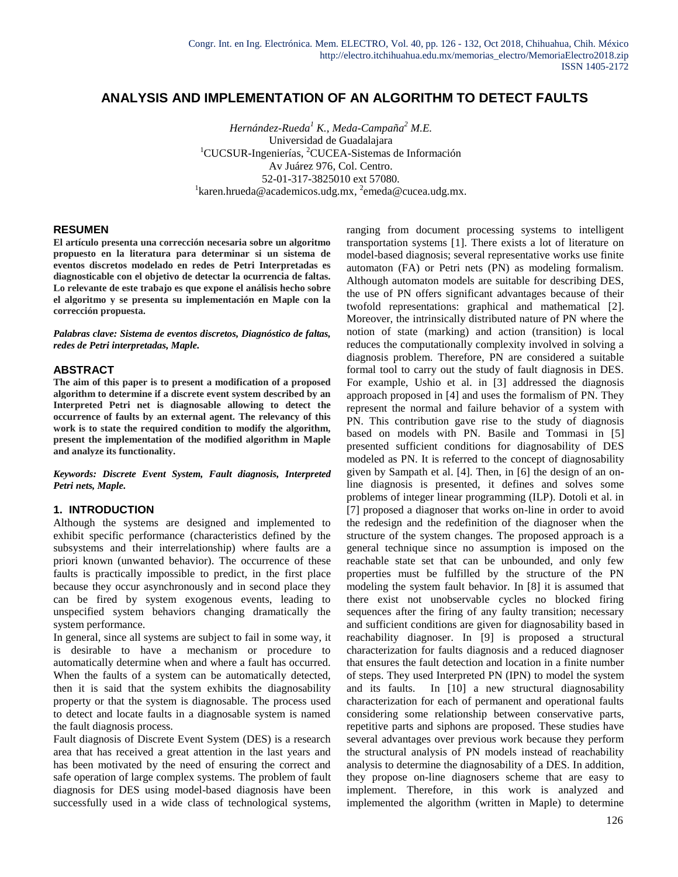## **ANALYSIS AND IMPLEMENTATION OF AN ALGORITHM TO DETECT FAULTS**

*Hernández-Rueda<sup>1</sup> K., Meda-Campaña<sup>2</sup> M.E.* Universidad de Guadalajara <sup>1</sup>CUCSUR-Ingenierías, <sup>2</sup>CUCEA-Sistemas de Información Av Juárez 976, Col. Centro. 52-01-317-3825010 ext 57080. <sup>1</sup>[karen.hrueda@academicos.udg.mx,](mailto:karen.hrueda@academicos.udg.mx) <sup>2</sup>[emeda@cucea.udg.mx.](mailto:emeda@cucea.udg.mx)

#### **RESUMEN**

**El artículo presenta una corrección necesaria sobre un algoritmo propuesto en la literatura para determinar si un sistema de eventos discretos modelado en redes de Petri Interpretadas es diagnosticable con el objetivo de detectar la ocurrencia de faltas. Lo relevante de este trabajo es que expone el análisis hecho sobre el algoritmo y se presenta su implementación en Maple con la corrección propuesta.**

*Palabras clave: Sistema de eventos discretos, Diagnóstico de faltas, redes de Petri interpretadas, Maple.*

#### **ABSTRACT**

**The aim of this paper is to present a modification of a proposed algorithm to determine if a discrete event system described by an Interpreted Petri net is diagnosable allowing to detect the occurrence of faults by an external agent. The relevancy of this work is to state the required condition to modify the algorithm, present the implementation of the modified algorithm in Maple and analyze its functionality.**

*Keywords: Discrete Event System, Fault diagnosis, Interpreted Petri nets, Maple.*

#### **1. INTRODUCTION**

Although the systems are designed and implemented to exhibit specific performance (characteristics defined by the subsystems and their interrelationship) where faults are a priori known (unwanted behavior). The occurrence of these faults is practically impossible to predict, in the first place because they occur asynchronously and in second place they can be fired by system exogenous events, leading to unspecified system behaviors changing dramatically the system performance.

In general, since all systems are subject to fail in some way, it is desirable to have a mechanism or procedure to automatically determine when and where a fault has occurred. When the faults of a system can be automatically detected, then it is said that the system exhibits the diagnosability property or that the system is diagnosable. The process used to detect and locate faults in a diagnosable system is named the fault diagnosis process.

Fault diagnosis of Discrete Event System (DES) is a research area that has received a great attention in the last years and has been motivated by the need of ensuring the correct and safe operation of large complex systems. The problem of fault diagnosis for DES using model-based diagnosis have been successfully used in a wide class of technological systems,

ranging from document processing systems to intelligent transportation systems [1]. There exists a lot of literature on model-based diagnosis; several representative works use finite automaton (FA) or Petri nets (PN) as modeling formalism. Although automaton models are suitable for describing DES, the use of PN offers significant advantages because of their twofold representations: graphical and mathematical [2]. Moreover, the intrinsically distributed nature of PN where the notion of state (marking) and action (transition) is local reduces the computationally complexity involved in solving a diagnosis problem. Therefore, PN are considered a suitable formal tool to carry out the study of fault diagnosis in DES. For example, Ushio et al. in [3] addressed the diagnosis approach proposed in [4] and uses the formalism of PN. They represent the normal and failure behavior of a system with PN. This contribution gave rise to the study of diagnosis based on models with PN. Basile and Tommasi in [5] presented sufficient conditions for diagnosability of DES modeled as PN. It is referred to the concept of diagnosability given by Sampath et al. [4]. Then, in [6] the design of an online diagnosis is presented, it defines and solves some problems of integer linear programming (ILP). Dotoli et al. in [7] proposed a diagnoser that works on-line in order to avoid the redesign and the redefinition of the diagnoser when the structure of the system changes. The proposed approach is a general technique since no assumption is imposed on the reachable state set that can be unbounded, and only few properties must be fulfilled by the structure of the PN modeling the system fault behavior. In [8] it is assumed that there exist not unobservable cycles no blocked firing sequences after the firing of any faulty transition; necessary and sufficient conditions are given for diagnosability based in reachability diagnoser. In [9] is proposed a structural characterization for faults diagnosis and a reduced diagnoser that ensures the fault detection and location in a finite number of steps. They used Interpreted PN (IPN) to model the system and its faults. In [10] a new structural diagnosability characterization for each of permanent and operational faults considering some relationship between conservative parts, repetitive parts and siphons are proposed. These studies have several advantages over previous work because they perform the structural analysis of PN models instead of reachability analysis to determine the diagnosability of a DES. In addition, they propose on-line diagnosers scheme that are easy to implement. Therefore, in this work is analyzed and implemented the algorithm (written in Maple) to determine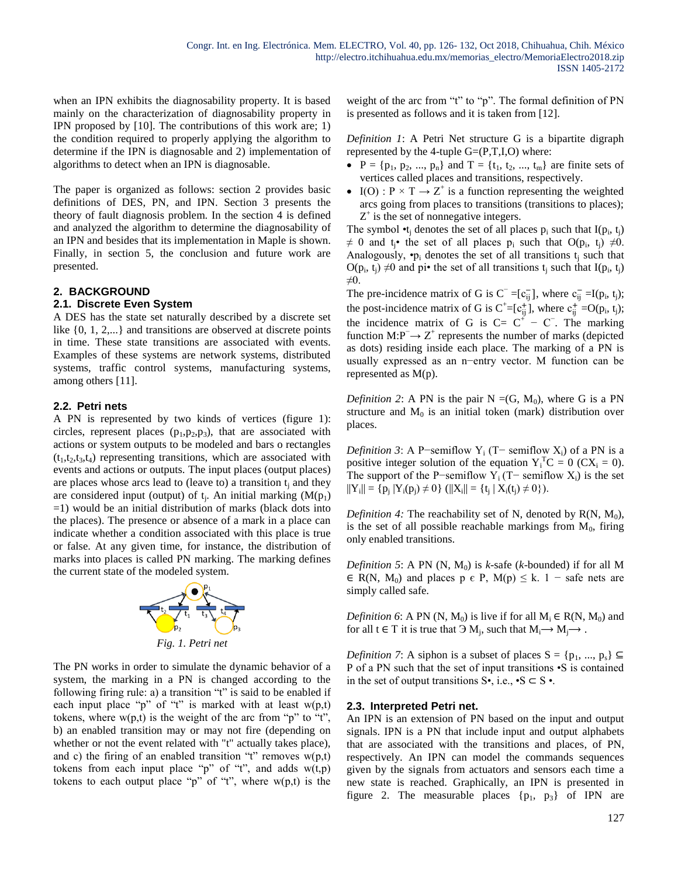when an IPN exhibits the diagnosability property. It is based mainly on the characterization of diagnosability property in IPN proposed by [10]. The contributions of this work are; 1) the condition required to properly applying the algorithm to determine if the IPN is diagnosable and 2) implementation of algorithms to detect when an IPN is diagnosable.

The paper is organized as follows: section 2 provides basic definitions of DES, PN, and IPN. Section 3 presents the theory of fault diagnosis problem. In the section 4 is defined and analyzed the algorithm to determine the diagnosability of an IPN and besides that its implementation in Maple is shown. Finally, in section 5, the conclusion and future work are presented.

# **2. BACKGROUND**

## **2.1. Discrete Even System**

A DES has the state set naturally described by a discrete set like  $\{0, 1, 2,...\}$  and transitions are observed at discrete points in time. These state transitions are associated with events. Examples of these systems are network systems, distributed systems, traffic control systems, manufacturing systems, among others [11].

### **2.2. Petri nets**

A PN is represented by two kinds of vertices (figure 1): circles, represent places  $(p_1, p_2, p_3)$ , that are associated with actions or system outputs to be modeled and bars o rectangles  $(t_1,t_2,t_3,t_4)$  representing transitions, which are associated with events and actions or outputs. The input places (output places) are places whose arcs lead to (leave to) a transition  $t_i$  and they are considered input (output) of  $t_i$ . An initial marking  $(M(p_1))$  $=1$ ) would be an initial distribution of marks (black dots into the places). The presence or absence of a mark in a place can indicate whether a condition associated with this place is true or false. At any given time, for instance, the distribution of marks into places is called PN marking. The marking defines the current state of the modeled system.



The PN works in order to simulate the dynamic behavior of a system, the marking in a PN is changed according to the following firing rule: a) a transition "t" is said to be enabled if each input place "p" of "t" is marked with at least  $w(p,t)$ tokens, where  $w(p,t)$  is the weight of the arc from "p" to "t", b) an enabled transition may or may not fire (depending on whether or not the event related with "t" actually takes place), and c) the firing of an enabled transition "t" removes  $w(p,t)$ tokens from each input place "p" of "t", and adds  $w(t,p)$ tokens to each output place "p" of "t", where  $w(p,t)$  is the

weight of the arc from "t" to "p". The formal definition of PN is presented as follows and it is taken from [12].

*Definition 1*: A Petri Net structure G is a bipartite digraph represented by the 4-tuple  $G=(P,T,I,O)$  where:

- $P = \{p_1, p_2, ..., p_n\}$  and  $T = \{t_1, t_2, ..., t_m\}$  are finite sets of vertices called places and transitions, respectively.
- I(O) :  $P \times T \rightarrow Z^+$  is a function representing the weighted arcs going from places to transitions (transitions to places);  $Z^+$  is the set of nonnegative integers.

The symbol  $\cdot t_j$  denotes the set of all places  $p_i$  such that  $I(p_i, t_j)$  $\neq$  0 and t<sub>j</sub>• the set of all places  $p_i$  such that O( $p_i$ , t<sub>j</sub>)  $\neq$ 0. Analogously,  $\cdot p_i$  denotes the set of all transitions  $t_i$  such that  $O(p_i, t_j) \neq 0$  and pi• the set of all transitions  $t_j$  such that  $I(p_i, t_j)$ ≠0.

The pre-incidence matrix of G is  $C^- = [c_{ij}^-]$ , where  $c_{ij}^- = I(p_i, t_j)$ ; the post-incidence matrix of G is  $C^+=[c_{ij}^+]$ , where  $c_{ij}^+$  =O( $p_i$ ,  $t_j$ ); the incidence matrix of G is  $C = C^+ - C^-$ . The marking function  $M: P^- \to Z^+$  represents the number of marks (depicted as dots) residing inside each place. The marking of a PN is usually expressed as an n−entry vector. M function can be represented as M(p).

*Definition 2*: A PN is the pair  $N = (G, M_0)$ , where G is a PN structure and  $M_0$  is an initial token (mark) distribution over places.

*Definition 3*: A P−semiflow Y<sub>i</sub> (T− semiflow X<sub>i</sub>) of a PN is a positive integer solution of the equation  $Y_i^T C = 0$  (CX<sub>i</sub> = 0). The support of the P−semiflow  $Y_i$  (T− semiflow  $X_i$ ) is the set  $||Y_i|| = \{p_j | Y_i(p_j) \neq 0\}$  ( $||X_i|| = \{t_j | X_i(t_j) \neq 0\}$ ).

*Definition 4:* The reachability set of N, denoted by  $R(N, M_0)$ , is the set of all possible reachable markings from  $M<sub>0</sub>$ , firing only enabled transitions.

*Definition 5*: A PN  $(N, M_0)$  is *k*-safe (*k*-bounded) if for all M  $\in$  R(N, M<sub>0</sub>) and places p  $\in$  P, M(p)  $\leq$  k. 1 – safe nets are simply called safe.

*Definition 6*: A PN (N, M<sub>0</sub>) is live if for all  $M_i \in R(N, M_0)$  and for all  $t \in T$  it is true that  $\Theta M_j$ , such that  $M_i \rightarrow M_j \rightarrow$ .

*Definition 7*: A siphon is a subset of places  $S = \{p_1, ..., p_s\} \subseteq$ P of a PN such that the set of input transitions •S is contained in the set of output transitions  $S^{\bullet}$ , i.e.,  $\bullet S \subset S^{\bullet}$ .

#### **2.3. Interpreted Petri net.**

An IPN is an extension of PN based on the input and output signals. IPN is a PN that include input and output alphabets that are associated with the transitions and places, of PN, respectively. An IPN can model the commands sequences given by the signals from actuators and sensors each time a new state is reached. Graphically, an IPN is presented in figure 2. The measurable places  $\{p_1, p_3\}$  of IPN are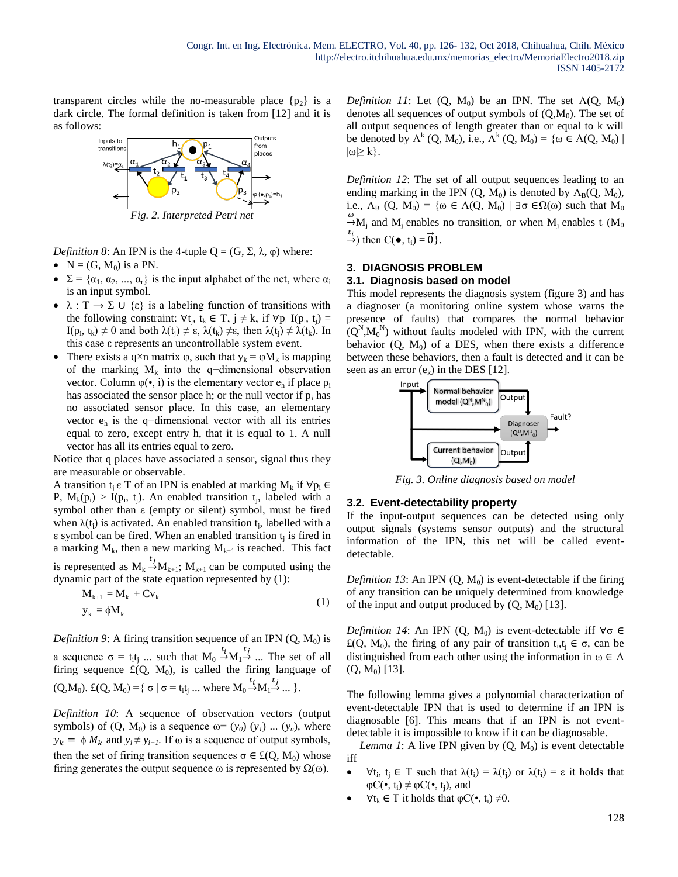transparent circles while the no-measurable place  $\{p_2\}$  is a dark circle. The formal definition is taken from [12] and it is as follows:



*Definition 8*: An IPN is the 4-tuple  $Q = (G, \Sigma, \lambda, \varphi)$  where:

- $\bullet$  N = (G, M<sub>0</sub>) is a PN.
- $\Sigma = {\alpha_1, \alpha_2, ..., \alpha_r}$  is the input alphabet of the net, where  $\alpha_i$ is an input symbol.
- $\lambda : T \to \Sigma \cup \{\epsilon\}$  is a labeling function of transitions with the following constraint:  $\forall t_j, t_k \in T, j \neq k$ , if  $\forall p_i I(p_i, t_j) =$ I(p<sub>i</sub>, t<sub>k</sub>)  $\neq$  0 and both  $\lambda(t_j) \neq \varepsilon$ ,  $\lambda(t_k) \neq \varepsilon$ , then  $\lambda(t_j) \neq \lambda(t_k)$ . In this case ε represents an uncontrollable system event.
- There exists a q×n matrix  $\varphi$ , such that  $y_k = \varphi M_k$  is mapping of the marking  $M_k$  into the q−dimensional observation vector. Column  $\varphi(\cdot, i)$  is the elementary vector  $e_h$  if place  $p_i$ has associated the sensor place h; or the null vector if  $p_i$  has no associated sensor place. In this case, an elementary vector e<sup>h</sup> is the q−dimensional vector with all its entries equal to zero, except entry h, that it is equal to 1. A null vector has all its entries equal to zero.

Notice that q places have associated a sensor, signal thus they are measurable or observable.

A transition  $t_i \in T$  of an IPN is enabled at marking  $M_k$  if  $\forall p_i \in T$ P,  $M_k(p_i) > I(p_i, t_i)$ . An enabled transition  $t_i$ , labeled with a symbol other than ε (empty or silent) symbol, must be fired when  $\lambda(t_i)$  is activated. An enabled transition  $t_i$ , labelled with a  $\epsilon$  symbol can be fired. When an enabled transition  $t_i$  is fired in a marking  $M_k$ , then a new marking  $M_{k+1}$  is reached. This fact is represented as  $M_k \stackrel{t_j}{\rightarrow} M_{k+1}$ ;  $M_{k+1}$  can be computed using the dynamic part of the state equation represented by (1):

$$
\mathbf{M}_{k+1} = \mathbf{M}_k + \mathbf{C} \mathbf{v}_k
$$
  
\n
$$
\mathbf{y}_k = \phi \mathbf{M}_k
$$
 (1)

*Definition 9*: A firing transition sequence of an IPN  $(Q, M_0)$  is a sequence  $\sigma = t_i t_j$  ... such that  $M_0 \stackrel{t_i}{\rightarrow} M_1 \stackrel{t_j}{\rightarrow} ...$  The set of all firing sequence  $\mathfrak{t}(Q, M_0)$ , is called the firing language of  $(Q, M_0)$ .  $\pounds (Q, M_0) = \{ \sigma \mid \sigma = t_1 t_1 ...$  where  $M_0 \stackrel{t_i}{\rightarrow} M_1 \stackrel{t_j}{\rightarrow} ... \}$ .

*Definition 10*: A sequence of observation vectors (output symbols) of  $(Q, M_0)$  is a sequence  $\omega = (y_0)(y_1) \dots (y_n)$ , where  $y_k = \phi M_k$  and  $y_i \neq y_{i+1}$ . If  $\omega$  is a sequence of output symbols, then the set of firing transition sequences  $\sigma \in \mathcal{L}(Q, M_0)$  whose firing generates the output sequence  $\omega$  is represented by  $\Omega(\omega)$ .

*Definition 11*: Let  $(Q, M_0)$  be an IPN. The set  $\Lambda(Q, M_0)$ denotes all sequences of output symbols of  $(Q, M_0)$ . The set of all output sequences of length greater than or equal to k will be denoted by  $\Lambda^k(Q, M_0)$ , i.e.,  $\Lambda^k(Q, M_0) = {\omega \in \Lambda(Q, M_0) \mid \Lambda_Q}$  $|\omega| \geq k$ .

*Definition 12*: The set of all output sequences leading to an ending marking in the IPN  $(Q, M_0)$  is denoted by  $\Lambda_B(Q, M_0)$ , i.e.,  $\Lambda_B$  (Q, M<sub>0</sub>) = { $\omega \in \Lambda(Q, M_0)$  |  $\exists \sigma \in \Omega(\omega)$  such that M<sub>0</sub>  $\stackrel{\omega}{\rightarrow}$ M<sub>j</sub> and M<sub>j</sub> enables no transition, or when M<sub>j</sub> enables t<sub>i</sub> (M<sub>0</sub>)  $\stackrel{t_i}{\rightarrow}$ ) then C( $\bullet$ , t<sub>i</sub>) =  $\overrightarrow{0}$  }.

### **3. DIAGNOSIS PROBLEM**

#### **3.1. Diagnosis based on model**

This model represents the diagnosis system (figure 3) and has a diagnoser (a monitoring online system whose warns the presence of faults) that compares the normal behavior  $(Q^N, M_0^N)$  without faults modeled with IPN, with the current behavior  $(Q, M_0)$  of a DES, when there exists a difference between these behaviors, then a fault is detected and it can be seen as an error  $(e_k)$  in the DES [12].



*Fig. 3. Online diagnosis based on model*

#### **3.2. Event-detectability property**

If the input-output sequences can be detected using only output signals (systems sensor outputs) and the structural information of the IPN, this net will be called eventdetectable.

*Definition 13*: An IPN  $(Q, M_0)$  is event-detectable if the firing of any transition can be uniquely determined from knowledge of the input and output produced by  $(Q, M_0)$  [13].

*Definition 14*: An IPN (Q, M<sub>0</sub>) is event-detectable iff  $\forall \sigma \in$  $\mathfrak{t}(Q, M_0)$ , the firing of any pair of transition  $t_i, t_j \in \sigma$ , can be distinguished from each other using the information in  $\omega \in \Lambda$  $(Q, M_0)$  [13].

The following lemma gives a polynomial characterization of event-detectable IPN that is used to determine if an IPN is diagnosable [6]. This means that if an IPN is not eventdetectable it is impossible to know if it can be diagnosable.

*Lemma 1*: A live IPN given by  $(Q, M_0)$  is event detectable iff

- $\forall t_i, t_j \in T$  such that  $\lambda(t_i) = \lambda(t_j)$  or  $\lambda(t_i) = \varepsilon$  it holds that  $\varphi C(\bullet, t_i) \neq \varphi C(\bullet, t_i)$ , and
- $\forall t_k \in T$  it holds that  $\varphi C(\bullet, t_i) \neq 0$ .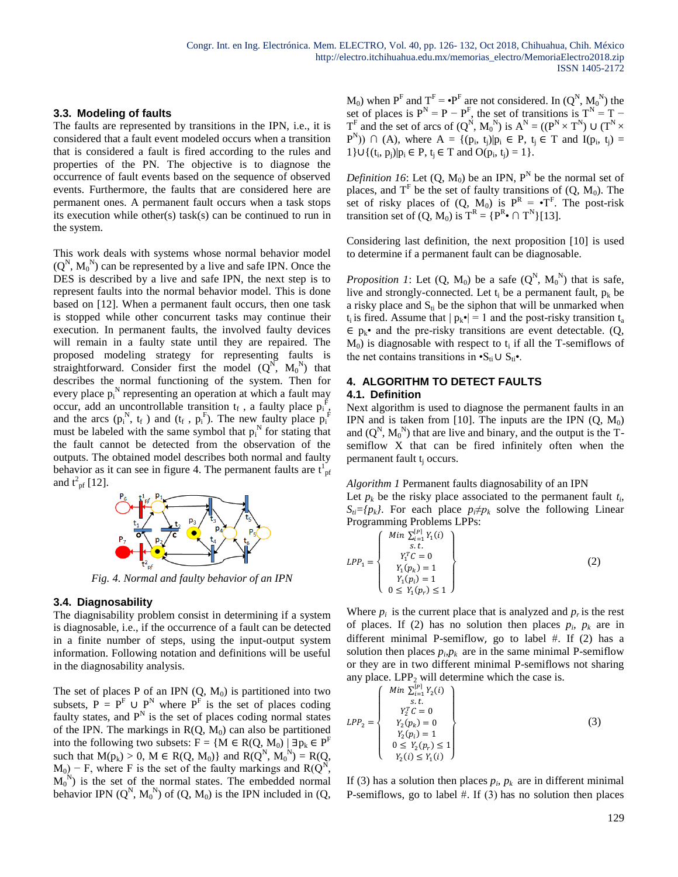#### **3.3. Modeling of faults**

The faults are represented by transitions in the IPN, i.e., it is considered that a fault event modeled occurs when a transition that is considered a fault is fired according to the rules and properties of the PN. The objective is to diagnose the occurrence of fault events based on the sequence of observed events. Furthermore, the faults that are considered here are permanent ones. A permanent fault occurs when a task stops its execution while other(s) task(s) can be continued to run in the system.

This work deals with systems whose normal behavior model  $(Q^N, M_0^N)$  can be represented by a live and safe IPN. Once the DES is described by a live and safe IPN, the next step is to represent faults into the normal behavior model. This is done based on [12]. When a permanent fault occurs, then one task is stopped while other concurrent tasks may continue their execution. In permanent faults, the involved faulty devices will remain in a faulty state until they are repaired. The proposed modeling strategy for representing faults is straightforward. Consider first the model  $(Q^N, M_0^N)$  that describes the normal functioning of the system. Then for every place  $p_i^N$  representing an operation at which a fault may occur, add an uncontrollable transition  $t_f$ , a faulty place  $p_i^{\dot{F}}$ , and the arcs  $(p_i^N, t_f)$  and  $(t_f, p_i^F)$ . The new faulty place  $p_i^F$ must be labeled with the same symbol that  $p_i^N$  for stating that the fault cannot be detected from the observation of the outputs. The obtained model describes both normal and faulty behavior as it can see in figure 4. The permanent faults are  $t_{pf}^{\dagger}$ and  $t^2$ <sub>pf</sub> [12].



*Fig. 4. Normal and faulty behavior of an IPN*

## **3.4. Diagnosability**

The diagnisability problem consist in determining if a system is diagnosable, i.e., if the occurrence of a fault can be detected in a finite number of steps, using the input-output system information. Following notation and definitions will be useful in the diagnosability analysis.

The set of places P of an IPN  $(Q, M_0)$  is partitioned into two subsets,  $P = P^F \cup P^N$  where  $P^F$  is the set of places coding faulty states, and  $P<sup>N</sup>$  is the set of places coding normal states of the IPN. The markings in  $R(Q, M_0)$  can also be partitioned into the following two subsets:  $F = \{M \in R(Q, M_0) \mid \exists p_k \in P^F\}$ such that  $M(p_k) > 0$ ,  $M \in R(Q, M_0)$  and  $R(Q^N, M_0^N) = R(Q,$  $M_0$ ) – F, where F is the set of the faulty markings and R( $Q^N$ ,  $M_0^{\{N\}}$  is the set of the normal states. The embedded normal behavior IPN  $(Q^N, M_0^N)$  of  $(Q, M_0)$  is the IPN included in  $(Q,$   $M_0$ ) when  $P^F$  and  $T^F = \cdot P^F$  are not considered. In  $(Q^N, M_0^N)$  the set of places is  $P^N = P - P^F$ , the set of transitions is  $T^N = T - P^F$  $T^F$  and the set of arcs of  $(Q^N, M_0^N)$  is  $A^N = ((P^N \times T^N) \cup (T^N \times T^N))$  $(P^N)$ )  $\cap$  (A), where  $A = \{(p_i, t_j)|p_i \in P, t_j \in T \text{ and } I(p_i, t_j) =$ 1}∪{(t<sub>i</sub>, p<sub>j</sub>)|p<sub>i</sub> ∈ P, t<sub>j</sub> ∈ T and O(p<sub>i</sub>, t<sub>j</sub>) = 1}.

*Definition 16*: Let  $(Q, M_0)$  be an IPN,  $P^N$  be the normal set of places, and  $T<sup>F</sup>$  be the set of faulty transitions of  $(Q, M_0)$ . The set of risky places of  $(Q, M_0)$  is  $P^R = \cdot T^F$ . The post-risk transition set of  $(Q, M_0)$  is  $T^R = {P^R \bullet \cap T^N}$ [13].

Considering last definition, the next proposition [10] is used to determine if a permanent fault can be diagnosable.

*Proposition 1*: Let  $(Q, M_0)$  be a safe  $(Q^N, M_0^N)$  that is safe, live and strongly-connected. Let  $t_i$  be a permanent fault,  $p_k$  be a risky place and  $S_{ti}$  be the siphon that will be unmarked when  $t_i$  is fired. Assume that  $|p_k \cdot | = 1$  and the post-risky transition  $t_a$  $\in$  p<sub>k</sub>• and the pre-risky transitions are event detectable. (Q,  $M_0$ ) is diagnosable with respect to  $t_i$  if all the T-semiflows of the net contains transitions in •S<sub>ti</sub> ∪ S<sub>ti</sub>•.

## **4. ALGORITHM TO DETECT FAULTS 4.1. Definition**

Next algorithm is used to diagnose the permanent faults in an IPN and is taken from [10]. The inputs are the IPN  $(Q, M_0)$ and  $(Q^N, M_0^N)$  that are live and binary, and the output is the Tsemiflow X that can be fired infinitely often when the permanent fault t<sub>i</sub> occurs.

*Algorithm 1* Permanent faults diagnosability of an IPN

Let  $p_k$  be the risky place associated to the permanent fault  $t_i$ , *S*<sup>*ti*</sup></sub>={*p*<sup>*k*</sup>*}*. For each place  $p_i \neq p_k$  solve the following Linear Programming Problems LPPs:

$$
LPP_1 = \begin{Bmatrix} Min \sum_{i=1}^{[P]} Y_1(i) \\ s.t. \\ Y_1^T C = 0 \\ Y_1(p_k) = 1 \\ Y_1(p_i) = 1 \\ 0 \le Y_1(p_r) \le 1 \end{Bmatrix}
$$
 (2)

Where  $p_i$  is the current place that is analyzed and  $p_r$  is the rest of places. If (2) has no solution then places  $p_i$ ,  $p_k$  are in different minimal P-semiflow, go to label  $#$ . If (2) has a solution then places  $p_i p_k$  are in the same minimal P-semiflow or they are in two different minimal P-semiflows not sharing any place. LPP<sub>2</sub> will determine which the case is.

$$
LPP_2 = \begin{Bmatrix} \nMin \sum_{i=1}^{|P|} Y_2(i) \\ \n\vdots \quad \vdots \\ \nY_2^T C = 0 \\ \nY_2(p_k) = 0 \\ \nY_2(p_i) = 1 \\ \n0 \le Y_2(p_r) \le 1 \\ \nY_2(i) \le Y_1(i) \n\end{Bmatrix} \tag{3}
$$

If (3) has a solution then places  $p_i$ ,  $p_k$  are in different minimal P-semiflows, go to label  $#$ . If  $(3)$  has no solution then places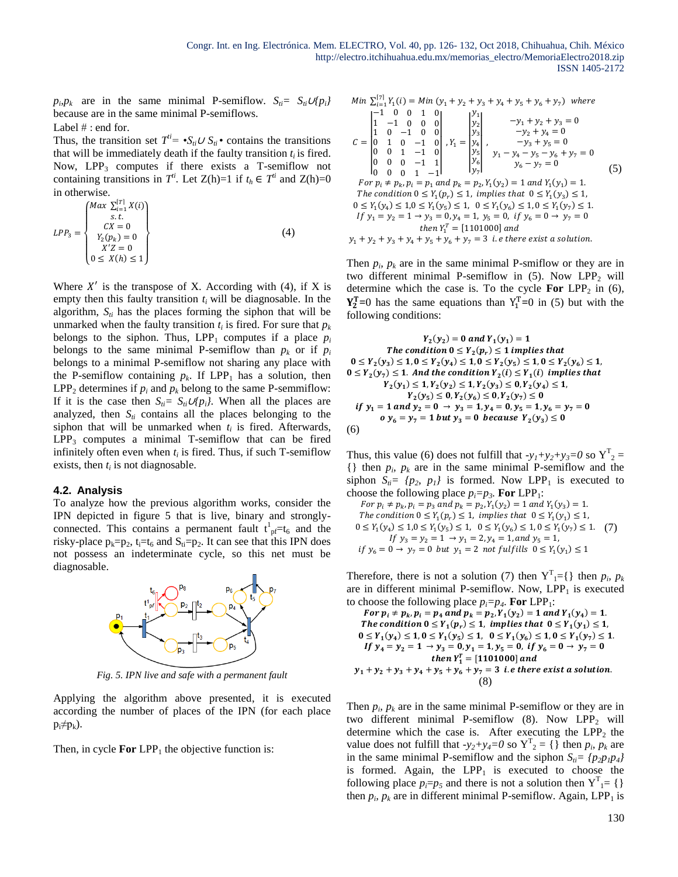$p_i p_k$  are in the same minimal P-semiflow.  $S_i = S_i U_i p_i$ because are in the same minimal P-semiflows.

Label  $# :$  end for.

Thus, the transition set  $T^{i} = \mathcal{S}_{i} \cup S_{i} \cdot \text{contains}$  the transitions that will be immediately death if the faulty transition  $t_i$  is fired. Now,  $LPP_3$  computes if there exists a T-semiflow not containing transitions in  $T^i$ . Let  $Z(h)=1$  if  $t_h \in T^i$  and  $Z(h)=0$ in otherwise.

$$
LPP_3 = \begin{cases} Max \sum_{i=1}^{[T]} X(i) \\ s.t. \\ CX = 0 \\ Y_2(p_k) = 0 \\ X'Z = 0 \\ 0 \le X(h) \le 1 \end{cases}
$$
 (4)

Where  $X'$  is the transpose of X. According with (4), if X is empty then this faulty transition  $t_i$  will be diagnosable. In the algorithm,  $S_{ti}$  has the places forming the siphon that will be unmarked when the faulty transition  $t_i$  is fired. For sure that  $p_k$ belongs to the siphon. Thus,  $LPP_1$  computes if a place  $p_i$ belongs to the same minimal P-semiflow than  $p_k$  or if  $p_i$ belongs to a minimal P-semiflow not sharing any place with the P-semiflow containing  $p_k$ . If  $LPP_1$  has a solution, then LPP<sub>2</sub> determines if  $p_i$  and  $p_k$  belong to the same P-semmiflow: If it is the case then  $S_{ti} = S_{ti} \cup \{p_i\}$ . When all the places are analyzed, then  $S_i$  contains all the places belonging to the siphon that will be unmarked when  $t_i$  is fired. Afterwards,  $LPP<sub>3</sub>$  computes a minimal T-semiflow that can be fired infinitely often even when  $t_i$  is fired. Thus, if such T-semiflow exists, then  $t_i$  is not diagnosable.

#### **4.2. Analysis**

To analyze how the previous algorithm works, consider the IPN depicted in figure 5 that is live, binary and stronglyconnected. This contains a permanent fault  $t^{1}_{pf}=t_{6}$  and the risky-place  $p_k=p_2$ ,  $t_i=t_6$  and  $S_{ti}=p_2$ . It can see that this IPN does not possess an indeterminate cycle, so this net must be diagnosable.



*Fig. 5. IPN live and safe with a permanent fault*

Applying the algorithm above presented, it is executed according the number of places of the IPN (for each place  $p_i \neq p_k$ ).

Then, in cycle **For**  $LPP_1$  the objective function is:

Min 
$$
\sum_{i=1}^{[7]} Y_1(i) = Min (y_1 + y_2 + y_3 + y_4 + y_5 + y_6 + y_7)
$$
 where  
\n
$$
C = \begin{vmatrix}\n1 & -1 & 0 & 0 & 1 & 0 \\
1 & -1 & 0 & 0 & 0 & 0 \\
0 & 1 & 0 & -1 & 0 & 0 \\
0 & 0 & 1 & -1 & 0 & 0 \\
0 & 0 & 0 & -1 & 1 & 0\n\end{vmatrix}, Y_1 = \begin{vmatrix}\ny_1 \\
y_2 \\
y_3 \\
y_4 \\
y_5\n\end{vmatrix}, Y_1 - y_4 - y_5 - y_6 + y_7 = 0
$$
\n
$$
y_2 + y_4 = 0
$$
\n
$$
y_1 - y_4 - y_5 - y_6 + y_7 = 0
$$
\n
$$
y_6 - y_7 = 0
$$
\n
$$
y_7 = 0
$$
\n
$$
y_8 = 0
$$
\n
$$
y_9 - y_7 = 0
$$
\n
$$
y_9 - y_7 = 0
$$
\n
$$
y_1 - y_4 - y_5 - y_6 + y_7 = 0
$$
\n
$$
y_6 - y_7 = 0
$$
\n
$$
y_7 = 0
$$
\n
$$
y_8 - y_7 = 0
$$
\n
$$
y_9 - y_7 = 0
$$
\n
$$
y_1 - y_4 = 0
$$
\n
$$
y_1 - y_2 = 1 \rightarrow y_3 = 0, y_4 = 1, y_5 = 0, \text{ if } y_6 = 0 \rightarrow y_7 = 0
$$
\n
$$
y_1 + y_2 + y_3 + y_4 + y_5 + y_6 + y_7 = 3 \text{ i.e there exist a solution.}
$$

Then  $p_i$ ,  $p_k$  are in the same minimal P-smiflow or they are in two different minimal P-semiflow in  $(5)$ . Now LPP<sub>2</sub> will determine which the case is. To the cycle **For**  $LPP_2$  in (6),  $Y_2^T=0$  has the same equations than  $Y_1^T=0$  in (5) but with the following conditions:

$$
Y_2(y_2) = 0 \text{ and } Y_1(y_1) = 1
$$
  
The condition  $0 \le Y_2(p_r) \le 1$  implies that  
 $0 \le Y_2(y_3) \le 1, 0 \le Y_2(y_4) \le 1, 0 \le Y_2(y_5) \le 1, 0 \le Y_2(y_6) \le 1,$   
 $0 \le Y_2(y_7) \le 1$ . And the condition  $Y_2(i) \le Y_1(i)$  implies that  
 $Y_2(y_1) \le 1, Y_2(y_2) \le 1, Y_2(y_3) \le 0, Y_2(y_4) \le 1,$   
 $Y_2(y_5) \le 0, Y_2(y_6) \le 0, Y_2(y_7) \le 0$   
if  $y_1 = 1$  and  $y_2 = 0 \rightarrow y_3 = 1, y_4 = 0, y_5 = 1, y_6 = y_7 = 0$   
 $0 y_6 = y_7 = 1$  but  $y_3 = 0$  because  $Y_2(y_3) \le 0$   
(6)

Thus, this value (6) does not fulfill that  $-y_1+y_2+y_3=0$  so  $Y^T_2 =$  $\{\}\$  then  $p_i$ ,  $p_k$  are in the same minimal P-semiflow and the siphon  $S_{ti} = \{p_2, p_1\}$  is formed. Now LPP<sub>1</sub> is executed to choose the following place  $p_i = p_3$ . For LPP<sub>1</sub>:

For  $p_i \neq p_k$ ,  $p_i = p_3$  and  $p_k = p_2$ ,  $Y_1(y_2) = 1$  and  $Y_1(y_3) = 1$ . The condition  $0 \le Y_1(p_r) \le 1$ , implies that  $0 \le Y_1(y_1) \le 1$ ,  $0 \le Y_1(y_4) \le 1, 0 \le Y_1(y_5) \le 1, 0 \le Y_1(y_6) \le 1, 0 \le Y_1(y_7) \le 1.$  (7) If  $y_3 = y_2 = 1 \rightarrow y_1 = 2, y_4 = 1,$  and  $y_5 = 1$ , if  $y_6 = 0 \to y_7 = 0$  but  $y_1 = 2$  not fulfills  $0 \le Y_1(y_1) \le 1$ 

Therefore, there is not a solution (7) then  $Y^{T}{}_{1} = \{\}$  then  $p_{i}$ ,  $p_{k}$ are in different minimal P-semiflow. Now,  $LPP_1$  is executed to choose the following place  $p_i = p_4$ . For LPP<sub>1</sub>:

For 
$$
p_i \neq p_k
$$
,  $p_i = p_4$  and  $p_k = p_2$ ,  $Y_1(y_2) = 1$  and  $Y_1(y_4) = 1$ .  
\nThe condition  $0 \le Y_1(p_r) \le 1$ , implies that  $0 \le Y_1(y_1) \le 1$ ,  
\n $0 \le Y_1(y_4) \le 1$ ,  $0 \le Y_1(y_5) \le 1$ ,  $0 \le Y_1(y_6) \le 1$ ,  $0 \le Y_1(y_7) \le 1$ .  
\nIf  $y_4 = y_2 = 1 \rightarrow y_3 = 0$ ,  $y_1 = 1$ ,  $y_5 = 0$ , if  $y_6 = 0 \rightarrow y_7 = 0$   
\nthen  $Y_1^T = [1101000]$  and  
\n $y_1 + y_2 + y_3 + y_4 + y_5 + y_6 + y_7 = 3$  i.e there exist a solution.  
\n(8)

Then  $p_i$ ,  $p_k$  are in the same minimal P-semiflow or they are in two different minimal P-semiflow  $(8)$ . Now LPP<sub>2</sub> will determine which the case is. After executing the  $LPP_2$  the value does not fulfill that  $-y_2+y_4=0$  so  $Y^T{}_2 = \{\}$  then  $p_i$ ,  $p_k$  are in the same minimal P-semiflow and the siphon  $S_{ti} = {p_2 p_1 p_4}$ is formed. Again, the  $LPP_1$  is executed to choose the following place  $p_i = p_5$  and there is not a solution then  $Y^T{}_{1} = \{\}$ then  $p_i$ ,  $p_k$  are in different minimal P-semiflow. Again, LPP<sub>1</sub> is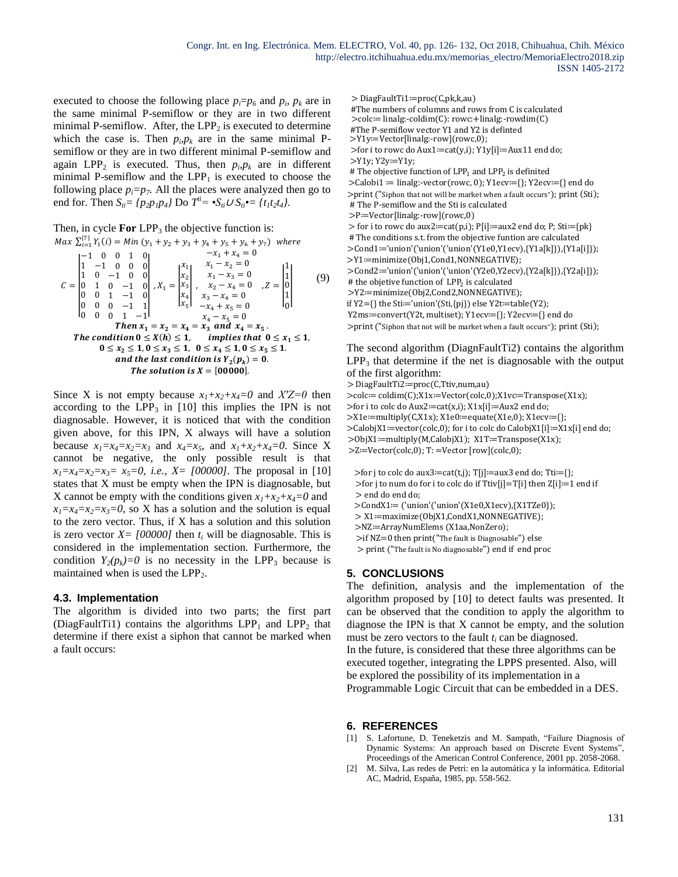executed to choose the following place  $p_i = p_6$  and  $p_i$ ,  $p_k$  are in the same minimal P-semiflow or they are in two different minimal P-semiflow. After, the  $LPP_2$  is executed to determine which the case is. Then  $p_i p_k$  are in the same minimal Psemiflow or they are in two different minimal P-semiflow and again LPP<sub>2</sub> is executed. Thus, then  $p_i p_k$  are in different minimal P-semiflow and the  $LPP_1$  is executed to choose the following place  $p_i = p_i$ . All the places were analyzed then go to end for. Then  $S_{ti} = \{p_2 p_1 p_4\}$  Do  $T^{ti} = \mathbf{S}_{ti} \cup S_{ti} \mathbf{S}_{ti} = \{t_1 t_2 t_4\}.$ 

```
Then, in cycle For LPP_3 the objective function is:
```

$$
Max \sum_{i=1}^{[7]} Y_1(i) = Min (y_1 + y_2 + y_3 + y_4 + y_5 + y_6 + y_7) \text{ where}
$$
  
\n
$$
C = \begin{vmatrix}\n1 & -1 & 0 & 0 & 1 & 0 \\
1 & -1 & 0 & 0 & 0 \\
0 & 1 & 0 & -1 & 0 \\
0 & 0 & 1 & -1 & 0 \\
0 & 0 & 0 & -1 & 1\n\end{vmatrix}, X_1 = \begin{vmatrix}\nx_1 & x_1 - x_2 & 0 \\
x_2 & x_1 - x_3 & 0 \\
x_4 & x_3 - x_4 & 0\n\end{vmatrix}, Z = \begin{vmatrix}\n1 \\
1 \\
0 \\
0 \\
1\n\end{vmatrix}
$$
(9)  
\n
$$
C = \begin{vmatrix}\n1 & 0 & -1 & 0 \\
0 & 1 & 0 & -1 & 0 \\
0 & 0 & 1 & -1 & 0 \\
0 & 0 & 0 & -1 & 1 \\
0 & 0 & 0 & 1 & -1\n\end{vmatrix}, X_1 = \begin{vmatrix}\nx_1 & x_2 - x_4 & 0 \\
x_2 & x_3 - x_4 & 0 \\
x_4 & x_3 - x_4 & 0\n\end{vmatrix}, Z = \begin{vmatrix}\n1 \\
1 \\
0 \\
0\n\end{vmatrix}
$$
(9)  
\n
$$
The \sum_{i=1}^{2} Y_i = x_4
$$
  
\n
$$
X_1 = x_2 - x_4 = x_3 \text{ and } x_4 = x_5.
$$
  
\nThe condition  $0 \le X(h) \le 1$ , implies that  $0 \le x_1 \le 1$ ,  
\n $0 \le x_2 \le 1, 0 \le x_3 \le 1, 0 \le x_4 \le 1, 0 \le x_5 \le 1.$   
\nand the last condition is  $Y_2(p_k) = 0$ .  
\nThe solution is  $X = [00000]$ .

Since X is not empty because  $x_1 + x_2 + x_4 = 0$  and  $X'Z = 0$  then according to the  $LPP_3$  in [10] this implies the IPN is not diagnosable. However, it is noticed that with the condition given above, for this IPN, X always will have a solution because  $x_1=x_4=x_5=x_3$  and  $x_4=x_5$ , and  $x_1+x_2+x_4=0$ . Since X cannot be negative, the only possible result is that  $x_1 = x_4 = x_2 = x_3 = x_5 = 0$ , *i.e.*,  $X = \{00000\}$ . The proposal in [10] states that X must be empty when the IPN is diagnosable, but X cannot be empty with the conditions given  $x_1 + x_2 + x_4 = 0$  and  $x_1 = x_4 = x_2 = x_3 = 0$ , so X has a solution and the solution is equal to the zero vector. Thus, if X has a solution and this solution is zero vector  $X = [00000]$  then  $t_i$  will be diagnosable. This is considered in the implementation section. Furthermore, the condition  $Y_2(p_k)=0$  is no necessity in the LPP<sub>3</sub> because is maintained when is used the  $LPP<sub>2</sub>$ .

#### **4.3. Implementation**

The algorithm is divided into two parts; the first part (DiagFaultTi1) contains the algorithms  $LPP_1$  and  $LPP_2$  that determine if there exist a siphon that cannot be marked when a fault occurs:

> DiagFaultTi1≔proc(C,pk,k,au)

```
#The numbers of columns and rows from C is calculated
```
>colc≔ linalg:-coldim(C): rowc:+linalg:-rowdim(C)

#The P-semiflow vector Y1 and Y2 is definted >Y1y≔Vector[linalg:-row](rowc,0);

>for i to rowc do Aux1≔cat(y,i); Y1y[i]≔Aux11 end do; >Y1y; Y2y≔Y1y;

# The objective function of  $\text{LPP}_1$  and  $\text{LPP}_2$  is definited

>Calobi1 ≔ linalg:-vector(rowc, 0); Y1ecv≔{}; Y2ecv≔{} end do >print ("Siphon that not will be market when a fault occurs"); print (Sti); # The P-semiflow and the Sti is calculated

>P≔Vector[linalg:-row](rowc,0)

> for i to rowc do aux2≔cat(p,i); P[i]≔aux2 end do; P; Sti≔{pk} # The conditions s.t. from the objective funtion are calculated >Cond1≔'union'('union'('union'(Y1e0,Y1ecv),{Y1a[k]}),{Y1a[i]}); >Y1≔minimize(Obj1,Cond1,NONNEGATIVE);

>Cond2≔'union'('union'('union'(Y2e0,Y2ecv),{Y2a[k]}),{Y2a[i]});

# the objetive function of LPP<sub>2</sub> is calculated

>Y2≔minimize(Obj2,Cond2,NONNEGATIVE);

if Y2={} the Sti≔'union'(Sti,{pj}) else Y2t≔table(Y2);

Y2ms≔convert(Y2t, multiset); Y1ecv≔{}; Y2ecv≔{} end do >print ("Siphon that not will be market when a fault occurs"); print (Sti);

The second algorithm (DiagnFaultTi2) contains the algorithm  $LPP<sub>3</sub>$  that determine if the net is diagnosable with the output of the first algorithm:

> DiagFaultTi2≔proc(C,Ttiv,num,au)

>colc≔ coldim(C);X1x≔Vector(colc,0);X1vc≔Transpose(X1x); >for i to colc do Aux2≔cat(x,i); X1x[i]≔Aux2 end do; >X1e≔multiply(C,X1x); X1e0≔equate(X1e,0); X1ecv≔{}; >CalobjX1≔vector(colc,0); for i to colc do CalobjX1[i]≔X1x[i] end do; >ObjX1≔multiply(M,CalobjX1); X1T≔Transpose(X1x); >Z≔Vector(colc,0); T: =Vector [row](colc,0);

>for j to colc do aux3≔cat(t,j); T[j]≔aux3 end do; Tti≔{}; >for j to num do for i to colc do if Ttiv[j]=T[i] then Z[i]≔1 end if > end do end do;

>CondX1≔ ('union'('union'(X1e0,X1ecv),{X1TZe0});

> X1≔maximize(ObjX1,CondX1,NONNEGATIVE);

>NZ≔ArrayNumElems (X1aa,NonZero);

```
>if NZ=0 then print("The fault is Diagnosable") else
```
> print ("The fault is No diagnosable") end if end proc

## **5. CONCLUSIONS**

The definition, analysis and the implementation of the algorithm proposed by [10] to detect faults was presented. It can be observed that the condition to apply the algorithm to diagnose the IPN is that X cannot be empty, and the solution must be zero vectors to the fault *t<sup>i</sup>* can be diagnosed. In the future, is considered that these three algorithms can be executed together, integrating the LPPS presented. Also, will be explored the possibility of its implementation in a Programmable Logic Circuit that can be embedded in a DES.

## **6. REFERENCES**

- [1] S. Lafortune, D. Teneketzis and M. Sampath, "Failure Diagnosis of Dynamic Systems: An approach based on Discrete Event Systems", Proceedings of the American Control Conference, 2001 pp. 2058-2068.
- [2] M. Silva, Las redes de Petri: en la automática y la informática. Editorial AC, Madrid, España, 1985, pp. 558-562.